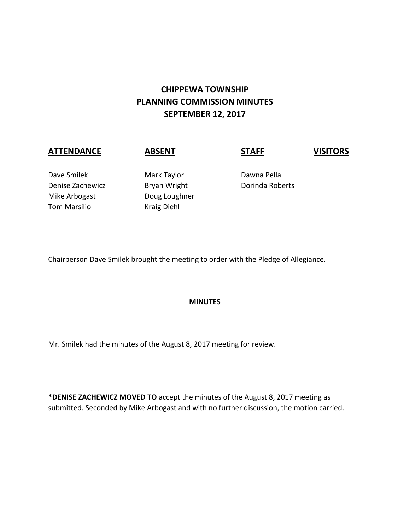# **CHIPPEWA TOWNSHIP PLANNING COMMISSION MINUTES SEPTEMBER 12, 2017**

# **ATTENDANCE ABSENT STAFF VISITORS**

Dave Smilek Mark Taylor Dawna Pella Denise Zachewicz **Bryan Wright** Dorinda Roberts Mike Arbogast Doug Loughner Tom Marsilio Kraig Diehl

Chairperson Dave Smilek brought the meeting to order with the Pledge of Allegiance.

## **MINUTES**

Mr. Smilek had the minutes of the August 8, 2017 meeting for review.

**\*DENISE ZACHEWICZ MOVED TO** accept the minutes of the August 8, 2017 meeting as submitted. Seconded by Mike Arbogast and with no further discussion, the motion carried.